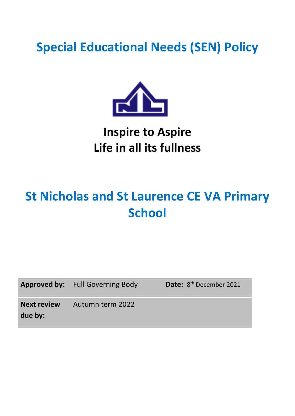## **Special Educational Needs (SEN) Policy**



### **Inspire to Aspire Life in all its fullness**

# **St Nicholas and St Laurence CE VA Primary School**

Approved by: Full Governing Body

Date: 8<sup>th</sup> December 2021

**Next review**  Autumn term 2022

**due by:**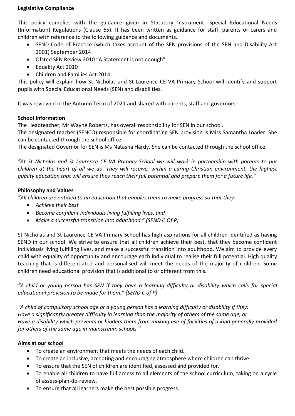#### **Legislative Compliance**

This policy complies with the guidance given in Statutory Instrument: Special Educational Needs (Information) Regulations (Clause 65). It has been written as guidance for staff, parents or carers and children with reference to the following guidance and documents.

- SEND Code of Practice (which takes account of the SEN provisions of the SEN and Disability Act 2001) September 2014
- Ofsted SEN Review 2010 "A Statement is not enough"
- Equality Act 2010
- Children and Families Act 2014

This policy will explain how St Nicholas and St Laurence CE VA Primary School will identify and support pupils with Special Educational Needs (SEN) and disabilities.

It was reviewed in the Autumn Term of 2021 and shared with parents, staff and governors.

#### **School Information**

The Headteacher, Mr Wayne Roberts, has overall responsibility for SEN in our school.

The designated teacher (SENCO) responsible for coordinating SEN provision is Miss Samantha Loader. She can be contacted through the school office.

The designated Governor for SEN is Ms Natasha Hardy. She can be contacted through the school office.

*"At St Nicholas and St Laurence CE VA Primary School we will work in partnership with parents to put children at the heart of all we do. They will receive, within a caring Christian environment, the highest quality education that will ensure they reach their full potential and prepare them for a future life."*

#### **Philosophy and Values**

*"All children are entitled to an education that enables them to make progress so that they:*

- *Achieve their best*
- *Become confident individuals living fulfilling lives, and*
- *Make a successful transition into adulthood." (SEND C Of P)*

St Nicholas and St Laurence CE VA Primary School has high aspirations for all children identified as having SEND in our school. We strive to ensure that all children achieve their best, that they become confident individuals living fulfilling lives, and make a successful transition into adulthood. We aim to provide every child with equality of opportunity and encourage each individual to realise their full potential. High quality teaching that is differentiated and personalised will meet the needs of the majority of children. Some children need educational provision that is additional to or different from this.

*"A child or young person has SEN if they have a learning difficulty or disability which calls for special educational provision to be made for them." (SEND C of P)*

*"A child of compulsory school age or a young person has a learning difficulty or disability if they: Have a significantly greater difficulty in learning than the majority of others of the same age, or Have a disability which prevents or hinders them from making use of facilities of a kind generally provided for others of the same age in mainstream schools."*

#### **Aims at our school**

- To create an environment that meets the needs of each child.
- To create an inclusive, accepting and encouraging atmosphere where children can thrive
- To ensure that the SEN of children are identified, assessed and provided for.
- To enable all children to have full access to all elements of the school curriculum, taking on a cycle of assess-plan-do-review.
- To ensure that all learners make the best possible progress.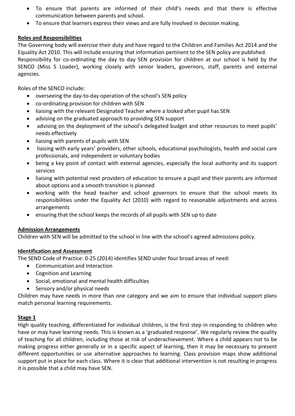- To ensure that parents are informed of their child's needs and that there is effective communication between parents and school.
- To ensure that learners express their views and are fully involved in decision making.

#### **Roles and Responsibilities**

The Governing body will exercise their duty and have regard to the Children and Families Act 2014 and the Equality Act 2010. This will include ensuring that information pertinent to the SEN policy are published. Responsibility for co-ordinating the day to day SEN provision for children at our school is held by the

SENCO (Miss S Loader), working closely with senior leaders, governors, staff, parents and external agencies.

Roles of the SENCO include:

- overseeing the day-to-day operation of the school's SEN policy
- co-ordinating provision for children with SEN
- liaising with the relevant Designated Teacher where a looked after pupil has SEN
- advising on the graduated approach to providing SEN support
- advising on the deployment of the school's delegated budget and other resources to meet pupils' needs effectively
- liaising with parents of pupils with SEN
- liaising with early years' providers, other schools, educational psychologists, health and social care professionals, and independent or voluntary bodies
- being a key point of contact with external agencies, especially the local authority and its support services
- liaising with potential next providers of education to ensure a pupil and their parents are informed about options and a smooth transition is planned
- working with the head teacher and school governors to ensure that the school meets its responsibilities under the Equality Act (2010) with regard to reasonable adjustments and access arrangements
- ensuring that the school keeps the records of all pupils with SEN up to date

#### **Admission Arrangements**

Children with SEN will be admitted to the school in line with the school's agreed admissions policy.

#### **Identification and Assessment**

The SEND Code of Practice: 0-25 (2014) identifies SEND under four broad areas of need:

- Communication and Interaction
- Cognition and Learning
- Social, emotional and mental health difficulties
- Sensory and/or physical needs

Children may have needs in more than one category and we aim to ensure that individual support plans match personal learning requirements.

#### **Stage 1**

High quality teaching, differentiated for individual children, is the first step in responding to children who have or may have learning needs. This is known as a 'graduated response'. We regularly review the quality of teaching for all children, including those at risk of underachievement. Where a child appears not to be making progress either generally or in a specific aspect of learning, then it may be necessary to present different opportunities or use alternative approaches to learning. Class provision maps show additional support put in place for each class. Where it is clear that additional intervention is not resulting in progress it is possible that a child may have SEN.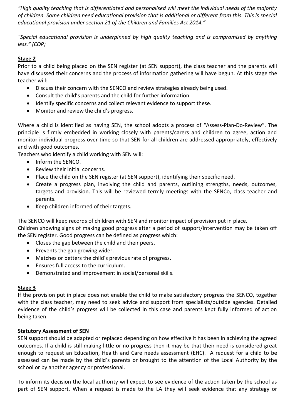*"High quality teaching that is differentiated and personalised will meet the individual needs of the majority of children. Some children need educational provision that is additional or different from this. This is special educational provision under section 21 of the Children and Families Act 2014."*

*"Special educational provision is underpinned by high quality teaching and is compromised by anything less." (COP)*

#### **Stage 2**

Prior to a child being placed on the SEN register (at SEN support), the class teacher and the parents will have discussed their concerns and the process of information gathering will have begun. At this stage the teacher will:

- Discuss their concern with the SENCO and review strategies already being used.
- Consult the child's parents and the child for further information.
- Identify specific concerns and collect relevant evidence to support these.
- Monitor and review the child's progress.

Where a child is identified as having SEN, the school adopts a process of "Assess-Plan-Do-Review". The principle is firmly embedded in working closely with parents/carers and children to agree, action and monitor individual progress over time so that SEN for all children are addressed appropriately, effectively and with good outcomes.

Teachers who identify a child working with SEN will:

- Inform the SENCO.
- Review their initial concerns.
- Place the child on the SEN register (at SEN support), identifying their specific need.
- Create a progress plan, involving the child and parents, outlining strengths, needs, outcomes, targets and provision. This will be reviewed termly meetings with the SENCo, class teacher and parents.
- Keep children informed of their targets.

The SENCO will keep records of children with SEN and monitor impact of provision put in place.

Children showing signs of making good progress after a period of support/intervention may be taken off the SEN register. Good progress can be defined as progress which:

- Closes the gap between the child and their peers.
- $\bullet$  Prevents the gap growing wider.
- Matches or betters the child's previous rate of progress.
- Ensures full access to the curriculum.
- Demonstrated and improvement in social/personal skills.

#### **Stage 3**

If the provision put in place does not enable the child to make satisfactory progress the SENCO, together with the class teacher, may need to seek advice and support from specialists/outside agencies. Detailed evidence of the child's progress will be collected in this case and parents kept fully informed of action being taken.

#### **Statutory Assessment of SEN**

SEN support should be adapted or replaced depending on how effective it has been in achieving the agreed outcomes. If a child is still making little or no progress then it may be that their need is considered great enough to request an Education, Health and Care needs assessment (EHC). A request for a child to be assessed can be made by the child's parents or brought to the attention of the Local Authority by the school or by another agency or professional.

To inform its decision the local authority will expect to see evidence of the action taken by the school as part of SEN support. When a request is made to the LA they will seek evidence that any strategy or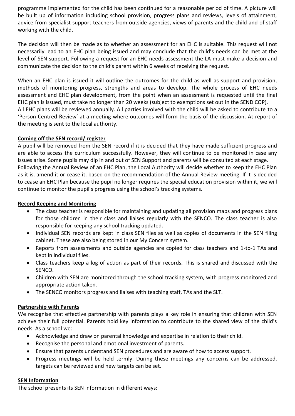programme implemented for the child has been continued for a reasonable period of time. A picture will be built up of information including school provision, progress plans and reviews, levels of attainment, advice from specialist support teachers from outside agencies, views of parents and the child and of staff working with the child.

The decision will then be made as to whether an assessment for an EHC is suitable. This request will not necessarily lead to an EHC plan being issued and may conclude that the child's needs can be met at the level of SEN support. Following a request for an EHC needs assessment the LA must make a decision and communicate the decision to the child's parent within 6 weeks of receiving the request.

When an EHC plan is issued it will outline the outcomes for the child as well as support and provision, methods of monitoring progress, strengths and areas to develop. The whole process of EHC needs assessment and EHC plan development, from the point when an assessment is requested until the final EHC plan is issued, must take no longer than 20 weeks (subject to exemptions set out in the SEND COP). All EHC plans will be reviewed annually. All parties involved with the child will be asked to contribute to a 'Person Centred Review' at a meeting where outcomes will form the basis of the discussion. At report of the meeting is sent to the local authority.

#### **Coming off the SEN record/ register**

A pupil will be removed from the SEN record if it is decided that they have made sufficient progress and are able to access the curriculum successfully. However, they will continue to be monitored in case any issues arise. Some pupils may dip in and out of SEN Support and parents will be consulted at each stage. Following the Annual Review of an EHC Plan, the Local Authority will decide whether to keep the EHC Plan as it is, amend it or cease it, based on the recommendation of the Annual Review meeting. If it is decided to cease an EHC Plan because the pupil no longer requires the special education provision within it, we will continue to monitor the pupil's progress using the school's tracking systems.

#### **Record Keeping and Monitoring**

- The class teacher is responsible for maintaining and updating all provision maps and progress plans for those children in their class and liaises regularly with the SENCO. The class teacher is also responsible for keeping any school tracking updated.
- Individual SEN records are kept in class SEN files as well as copies of documents in the SEN filing cabinet. These are also being stored in our My Concern system.
- Reports from assessments and outside agencies are copied for class teachers and 1-to-1 TAs and kept in individual files.
- Class teachers keep a log of action as part of their records. This is shared and discussed with the SENCO.
- Children with SEN are monitored through the school tracking system, with progress monitored and appropriate action taken.
- The SENCO monitors progress and liaises with teaching staff, TAs and the SLT.

#### **Partnership with Parents**

We recognise that effective partnership with parents plays a key role in ensuring that children with SEN achieve their full potential. Parents hold key information to contribute to the shared view of the child's needs. As a school we:

- Acknowledge and draw on parental knowledge and expertise in relation to their child.
- Recognise the personal and emotional investment of parents.
- Ensure that parents understand SEN procedures and are aware of how to access support.
- Progress meetings will be held termly. During these meetings any concerns can be addressed, targets can be reviewed and new targets can be set.

#### **SEN Information**

The school presents its SEN information in different ways: